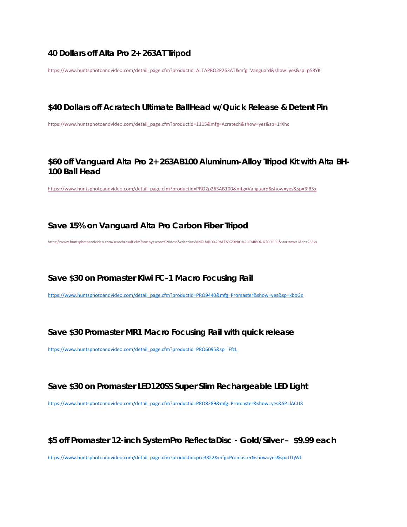### **40 Dollars off Alta Pro 2+ 263AT Tripod**

https://www.huntsphotoandvideo.com/detail\_page.cfm?productid=ALTAPRO2P263AT&mfg=Vanguard&show=yes&sp=p58YK

#### **\$40 Dollars off Acratech Ultimate BallHead w/Quick Release & Detent Pin**

https://www.huntsphotoandvideo.com/detail\_page.cfm?productid=1115&mfg=Acratech&show=yes&sp=1rXhc

## **\$60 off Vanguard Alta Pro 2+ 263AB100 Aluminum-Alloy Tripod Kit with Alta BH-100 Ball Head**

https://www.huntsphotoandvideo.com/detail\_page.cfm?productid=PRO2p263AB100&mfg=Vanguard&show=yes&sp=3IB5x

#### **Save 15% on Vanguard Alta Pro Carbon Fiber Tripod**

https://www.huntsphotoandvideo.com/searchresult.cfm?sortby=score%20desc&criteria=VANGUARD%20ALTA%20PRO%20CARBON%20FIBER&startrow=1&sp=285xx

**Save \$30 on Promaster Kiwi FC-1 Macro Focusing Rail**

https://www.huntsphotoandvideo.com/detail\_page.cfm?productid=PRO9440&mfg=Promaster&show=yes&sp=kboGq

### **Save \$30 Promaster MR1 Macro Focusing Rail with quick release**

https://www.huntsphotoandvideo.com/detail\_page.cfm?productid=PRO6095&sp=IFfzL

### **Save \$30 on Promaster LED120SS Super Slim Rechargeable LED Light**

https://www.huntsphotoandvideo.com/detail\_page.cfm?productid=PRO8289&mfg=Promaster&show=yes&SP=lACU8

**\$5 off Promaster 12-inch SystemPro ReflectaDisc - Gold/Silver – \$9.99 each**

https://www.huntsphotoandvideo.com/detail\_page.cfm?productid=pro3822&mfg=Promaster&show=yes&sp=UTjWf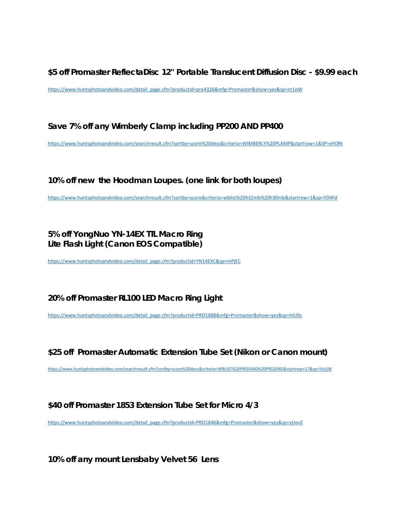**\$5 off Promaster ReflectaDisc 12'' Portable Translucent Diffusion Disc - \$9.99 each**

https://www.huntsphotoandvideo.com/detail\_page.cfm?productid=pro4326&mfg=Promaster&show=yes&sp=nr1oW

**Save 7% off any Wimberly Clamp including PP200 AND PP400**

https://www.huntsphotoandvideo.com/searchresult.cfm?sortby=score%20desc&criteria=WIMBERLY%20PLAMP&startrow=1&SP=eFORt

### **10% off new the Hoodman Loupes. (one link for both loupes)**

https://www.huntsphotoandvideo.com/searchresult.cfm?sortby=score&criteria=wblist%20h32mb%20h30mb&startrow=1&sp=YD4Fd

## **5% off YongNuo YN-14EX TTL Macro Ring Lite Flash Light (Canon EOS Compatible)**

https://www.huntsphotoandvideo.com/detail\_page.cfm?productid=YN14EXC&sp=mPjEC

# **20% off Promaster RL100 LED Macro Ring Light**

https://www.huntsphotoandvideo.com/detail\_page.cfm?productid=PRO1888&mfg=Promaster&show=yes&sp=HiUfo

# **\$25 off Promaster Automatic Extension Tube Set (Nikon or Canon mount)**

https://www.huntsphotoandvideo.com/searchresult.cfm?sortby=score%20desc&criteria=WBLIST%20PRO5440%20PRO2045&startrow=17&sp=YyUjW

### **\$40 off Promaster 1853 Extension Tube Set for Micro 4/3**

https://www.huntsphotoandvideo.com/detail\_page.cfm?productid=PRO1846&mfg=Promaster&show=yes&sp=yUevZ

**10% off any mount Lensbaby Velvet 56 Lens**